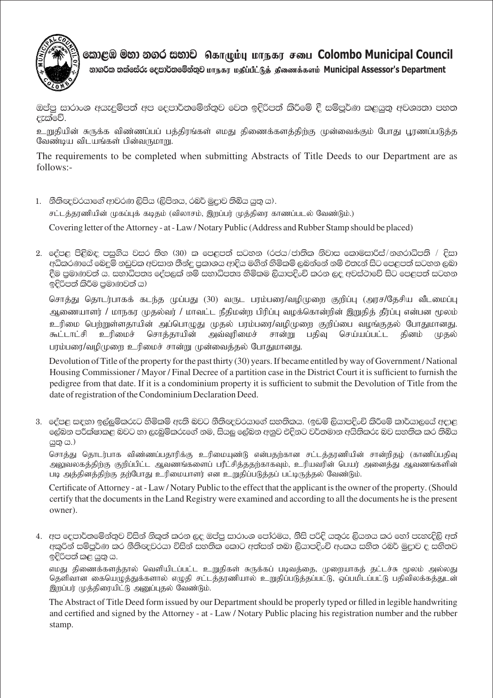

லைஜூ මහා නගර සභාව கொழும்பு மாநகர சபை Colombo Municipal Council

නාගරික තක්සේරු දෙපාර්තමේන්තුව மாநகா மகிப்பீட்டுக் கிணைக்களம் Municipal Assessor's Department

ඔප්පු සාරාංශ අයැදුම්පත් අප දෙපාර්තමේන්තුව වෙත ඉදිරිපත් කිරීමේ දී සම්පුර්ණ කළයුතු අවශානා පහත දැක්වේ.

உறுதியின் சுருக்க விண்ணப்பப் பத்திரங்கள் எமது திணைக்களத்திற்கு முன்வைக்கும் போது பூரணப்படுத்த வேண்டிய விடயங்கள் பின்வருமாறு.

The requirements to be completed when submitting Abstracts of Title Deeds to our Department are as  $follows$ :-

- 1. නීතිඥවරයාගේ ආවරණ ලිපිය (ලිපිනය, රබර් මුදාව තිබිය යුතු ය). சட்டத்தரணியின் முகப்புக் கடிதம் (விலாசம், இறப்பர் முத்திரை காணப்படல் வேண்டும்.) Covering letter of the Attorney - at - Law/Notary Public (Address and Rubber Stamp should be placed)
- 2. දේපළ පිළිබඳ පසුගිය වසර නිහ (30) ක පෙළපත් සටහන (රජය/ජාතික නිවාස කොමසාරිස්/නගරාධිපති / දිසා අධිකරණයේ බෙදුම් නඩුවක අවසාන තීන්දු පුකාශය ආදිය මගින් හිමිකම් ලබන්නේ නම් එතැන් සිට පෙළපත් සටහන ලබා දීම පුමාණවත් ය. සභාධිපතෟ දේපලක් නම් සභාධිපතෳ හිමිකම ලියාපදිංචි කරන ලද අවස්ථාවේ සිට පෙළපත් සටහන ඉදිරිපත් කිරීම පුමාණවත් ය)

சொத்து தொடர்பாகக் கடந்த முப்பது (30) வருட பரம்பரை/வழிமுறை குறிப்பு (அரச/தேசிய வீடமைப்பு ஆணையாளர் / மாநகர முதல்வர் / மாவட்ட நீதிமன்ற பிரிப்பு வழக்கொன்றின் இறுதித் தீர்ப்பு என்பன மூலம் உரிமை பெற்றுள்ளதாயின் அப்பொழுது முதல் பரம்பரை/வழிமுறை குறிப்பை வழங்குதல் போதுமானது. அவ்வுரிமைச் உரிமைச் சொத்தாயின் சான்று பதிவு தினம் கூட்டாட்சி செய்யப்பட்ட (மகல் பரம்பரை/வழிமுறை உரிமைச் சான்று முன்வைத்தல் போதுமானது.

Devolution of Title of the property for the past thirty (30) years. If became entitled by way of Government/National Housing Commissioner / Mayor / Final Decree of a partition case in the District Court it is sufficient to furnish the pedigree from that date. If it is a condominium property it is sufficient to submit the Devolution of Title from the date of registration of the Condominium Declaration Deed.

3. දේපළ සඳහා ඉල්ලුම්කරුට හිමිකම් ඇති බවට නීතිඥවරයාගේ සහතිකය. (ඉඩම් ලියාපදිංචි කිරීමේ කාර්යාලයේ අදාළ ලේඛන පරීක්ෂාකළ බවට හා ලැබුම්කරුගේ නම, සියලු ලේඛන අනුව එදිනට වර්තමාන අයිතිකරු බව සහතික කර තිබිය යුතු ය.)

சொத்து தொடர்பாக விண்ணப்பதாரிக்கு உரிமையுண்டு என்பதற்கான சட்டத்தரணியின் சான்றிதழ் (காணிப்பதிவு அலுவலகத்திற்கு குறிப்பிட்ட ஆவணங்களைப் பரீட்சித்ததற்காகவும், உரியவரின் பெயர் அனைத்து ஆவணங்களின் படி அத்தினத்திற்கு தற்போது உரிமையாளர் என உறுதிப்படுத்தப் பட்டிருத்தல் வேண்டும்.

Certificate of Attorney - at - Law / Notary Public to the effect that the applicant is the owner of the property. (Should certify that the documents in the Land Registry were examined and according to all the documents he is the present owner).

4. අප දෙපාර්තමේන්තුව විසින් නිකුත් කරන ලද ඔප්පු සාරාංශ පෝරමය, නිසි පරිදි යතුරු ලියනය කර හෝ පැහැදිලි අත් අකුරින් සම්පූර්ණ කර නීතිඥවරයා විසින් සහතික කොට අත්සන් තබා ලියාපදිංචි අංකය සහිත රබර් මුදුාව ද සහිතව ඉදිරිපත් කළ යුතු ය.

எமது திணைக்களத்தால் வெளியிடப்பட்ட உறுதிகள் சுருக்கப் படிவத்தை, முறையாகத் தட்டச்சு மூலம் அல்லது தெளிவான கையெழுத்துக்களால் எழுதி சட்டத்தரணியால் உறுதிப்படுத்தப்பட்டு, ஒப்பமிடப்பட்டு பதிவிலக்கத்துடன் இறப்பர் முத்திரையிட்டு அனுப்புதல் வேண்டும்.

The Abstract of Title Deed form issued by our Department should be properly typed or filled in legible handwriting and certified and signed by the Attorney - at - Law / Notary Public placing his registration number and the rubber stamp.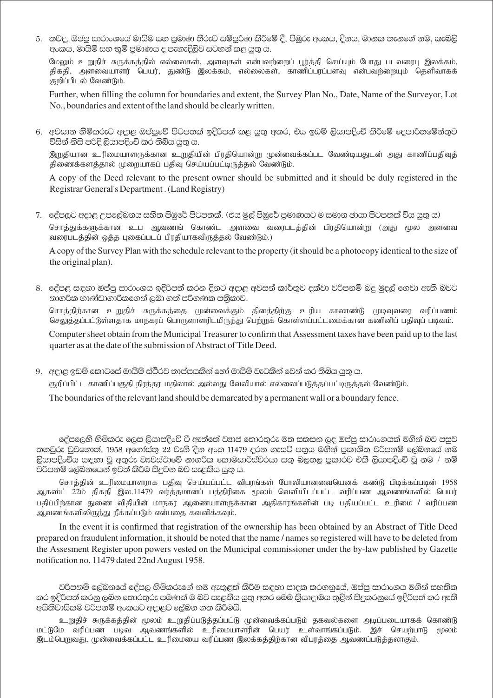5. නවද, ඔප්පු සාරාංශයේ මායිම සහ පුමාණ තීරුව සම්පුර්ණ කිරීමේ දී, පිඹුරු අංකය, දිනය, මානක තැනගේ නම, කැබලි අංකය, මායිම් සහ භූමි පුමාණය ද පැහැදිලිව සටහන් කළ යුතු ය.

மேலும் உறுதிச் சுருக்கத்தில் எல்லைகள், அளவுகள் என்பவற்றைப் பூர்த்தி செய்யும் போது படவரைபு இலக்கம், திகதி, அளவையாளர் பெயர், துண்டு இலக்கம், எல்லைகள், காணிப்பரப்பளவு என்பவற்றையும் தெளிவாகக் குறிப்பிடல் வேண்டும்.

Further, when filling the column for boundaries and extent, the Survey Plan No., Date, Name of the Surveyor, Lot No., boundaries and extent of the land should be clearly written.

6. අවසාන හිමිකරුට අදාළ ඔප්පුවේ පිටපතක් ඉදිරිපත් කළ යුතු අතර, එය ඉඩම් ලියාපදිංචි කිරීමේ දෙපාර්තමේන්තුව විසින් නිසි පරිදි ලියාපදිංචි කර තිබිය යුතු ය.

இறுதியான உரிமையாளருக்கான உறுதியின் பிரதியொன்று முன்வைக்கப்பட வேண்டியதுடன் அது காணிப்பதிவுத் திணைக்களத்தால் முறையாகப் பதிவு செய்யப்பட்டிருத்தல் வேண்டும்.

A copy of the Deed relevant to the present owner should be submitted and it should be duly registered in the Registrar General's Department. (Land Registry)

7. දේපලට අදාළ උපලේබනය සහිත පිඹුරේ පිටපතක්. (එය මල් පිඹුරේ පුමාණයට ම සමාන ඡායා පිටපතක් විය යුතු ය) சொத்துக்களுக்கான உப ஆவணங் கொண்ட அளவை வரைபடத்தின் பிரதியொன்று (அது மூல அளவை வரைபடத்தின் ஒத்த புகைப்படப் பிரதியாகவிருத்தல் வேண்டும்.)

A copy of the Survey Plan with the schedule relevant to the property (it should be a photocopy identical to the size of the original plan).

8. ජේපළ සඳහා ඔප්පු සාරාංශය ඉදිරිපත් කරන දිනට අදාළ අවසන් කාර්තුව දක්වා වරිපනම් බද මුදල් ගෙවා ඇති බවට නාගරික භාණ්ඩාගාරිකගෙන් ලබා ගත් පරිගණක පතිකාව.

சொத்திற்கான உறுதிச் சுருக்கத்தை முன்வைக்கும் தினத்திற்கு உரிய காலாண்டு முடிவுவரை வரிப்பணம் செலுத்தப்பட்டுள்ளதாக மாநகரப் பொருளாளரிடமிருந்து பெற்றுக் கொள்ளப்பட்டமைக்கான கணினிப் பதிவுப் படிவம்.

Computer sheet obtain from the Municipal Treasurer to confirm that Assessment taxes have been paid up to the last quarter as at the date of the submission of Abstract of Title Deed.

9. අදාළ ඉඩම් කොටසේ මායිම් ස්ථිරව තාප්පයකින් හෝ මායිම් වැටකින් වෙන් කර තිබිය යුතු ය. குறிப்பிட்ட காணிப்பகுதி நிரந்தர மதிலால் அல்லது வேலியால் எல்லைப்படுத்தப்பட்டிருத்தல் வேண்டும். The boundaries of the relevant land should be demarcated by a permanent wall or a boundary fence.

දේපලෙහි හිමිකරු ලෙස ලියාපදිංචි වී ඇත්තේ වනප් තොරතුරු මත සකසන ලද ඔප්පු සාරාංශයක් මගින් බව පසුව නහවුරු වුවහොත්, 1958 අගෝස්තු 22 වැනි දින අංක 11479 දරන ගැසට් පතුය මගින් පුකාශිත වරිපනම් ලේඛනයේ නම ලියාපදිංචිය සඳහා වූ අතුරු වෘවස්ථාවේ නාගරික කොමසාරිස්වරයා සතු බලතල පුකාරව එකී ලියාපදිංචි වූ නම / නම් වරිපනම් ලේඛනයෙන් ඉවත් කිරීම සිදුවන බව සැළකිය යුතු ය.

சொத்தின் உரிமையாளராக பதிவு செய்யப்பட்ட விபரங்கள் போலியானவையெனக் கண்டு பிடிக்கப்படின் 1958 ஆகஸ்ட் 22ம் திகதி இல.11479 வர்த்தமானப் பத்திரிகை மூலம் வெளியிடப்பட்ட வரிப்பண ஆவணங்களில் பெயர் பதிப்பிற்கான துணை விதியின் மாநகர ஆணையாளருக்கான அதிகாரங்களின் படி பதியப்பட்ட உரிமை / வரிப்பண ஆவணங்களிலிருந்து நீக்கப்படும் என்பதை கவனிக்கவும்.

In the event it is confirmed that registration of the ownership has been obtained by an Abstract of Title Deed prepared on fraudulent information, it should be noted that the name / names so registered will have to be deleted from the Assesment Register upon powers vested on the Municipal commissioner under the by-law published by Gazette notification no. 11479 dated 22nd August 1958.

වරිපනම් ලේඛනයේ දේපල හිමිකරුගේ නම ඇතුළත් කිරීම සඳහා පාදක කරගනුයේ, ඔප්පු සාරාංශය මගින් සහතික කර ඉදිරිපත් කරනු ලබන තොරතුරු පමණක් ම බව සැළකිය යුතු අතර මෙම කියාදාමය තුළින් සිදුකරනුයේ ඉදිරිපත් කර ඇති අයිතිවාසිකම වරිපනම් අංකයට අදාළව ලේඛන ගත කිරීමයි.

உறுதிச் சுருக்கத்தின் மூலம் உறுதிப்படுத்தப்பட்டு முன்வைக்கப்படும் தகவல்களை அடிப்படையாகக் கொண்டு மட்டுமே வரிப்பண படிவ ஆவணங்களில் உரிமையாளரின் பெயர் உள்வாங்கப்படும். இச் செயற்பாடு மூலம் இடம்பெறுவது, முன்வைக்கப்பட்ட உரிமையை வரிப்பண இலக்கத்திற்கான விபரத்தை ஆவணப்படுத்தலாகும்.